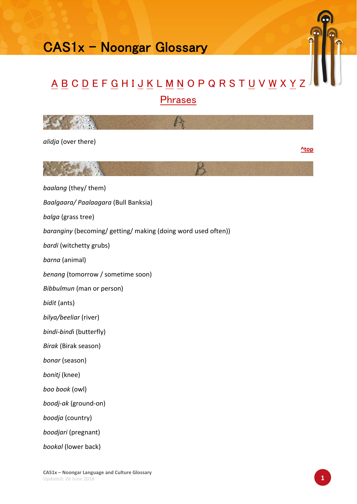## CAS1x - Noongar Glossary

## A B C D E F G H I J K L M N O P Q R S T U V W X Y Z Phrases



*alidja* (over there)

**^top**



*baalang* (they/ them)

*Baalgaara/ Paalaagara* (Bull Banksia)

*balga* (grass tree)

*baranginy* (becoming/ getting/ making (doing word used often))

*bardi* (witchetty grubs)

*barna* (animal)

*benang* (tomorrow / sometime soon)

*Bibbulmun* (man or person)

*bidit* (ants)

*bilya/beeliar* (river)

*bindi‐bind*i (butterfly)

*Birak* (Birak season)

*bonar* (season)

*bonitj* (knee)

*boo book* (owl)

*boodj‐ak* (ground‐on)

*boodja* (country)

*boodjari* (pregnant)

*bookal* (lower back)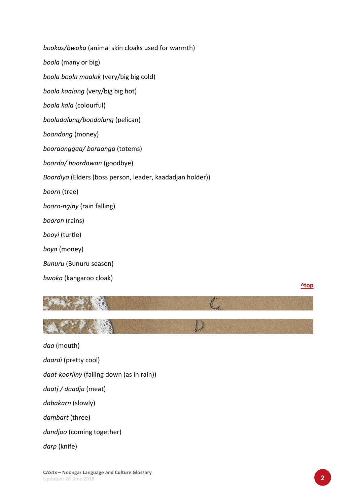| bookas/bwoka (animal skin cloaks used for warmth)         |
|-----------------------------------------------------------|
| <i>boola</i> (many or big)                                |
| boola boola maalak (very/big big cold)                    |
| boola kaalang (very/big big hot)                          |
| boola kala (colourful)                                    |
| booladalung/boodalung (pelican)                           |
| boondong (money)                                          |
| booraanggaa/boraanga (totems)                             |
| boorda/boordawan (goodbye)                                |
| Boordiya (Elders (boss person, leader, kaadadjan holder)) |
| boorn (tree)                                              |
| booro-nginy (rain falling)                                |
| booron (rains)                                            |
| booyi (turtle)                                            |
| boya (money)                                              |
| Bunuru (Bunuru season)                                    |
| bwoka (kangaroo cloak)                                    |

**^top**



*daa* (mouth) *daardi* (pretty cool) *daat‐koorliny* (falling down (as in rain)) *daatj / daadja* (meat) *dabakarn* (slowly) *dambart* (three) *dandjoo* (coming together) *darp* (knife)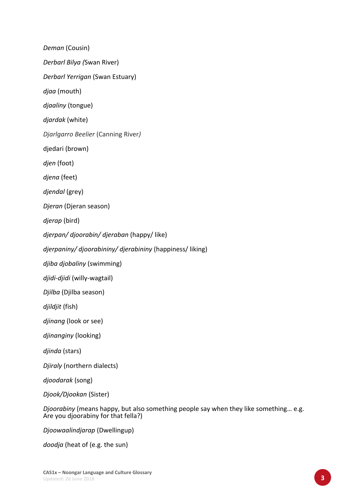*Deman* (Cousin)

*Derbarl Bilya (*Swan River)

*Derbarl Yerrigan* (Swan Estuary)

*djaa* (mouth)

*djaaliny* (tongue)

*djardak* (white)

*Djarlgarro Beelier* (Canning River*)*

djedari (brown)

*djen* (foot)

*djena* (feet)

*djendal* (grey)

*Djeran* (Djeran season)

*djerap* (bird)

*djerpan/ djoorabin/ djeraban* (happy/ like)

*djerpaniny/ djoorabininy/ djerabininy* (happiness/ liking)

*djiba djobaliny* (swimming)

*djidi‐djidi* (willy‐wagtail)

*Djilba* (Djilba season)

*djildjit* (fish)

*djinang* (look or see)

*djinanginy* (looking)

*djinda* (stars)

*Djiraly* (northern dialects)

*djoodarak* (song)

*Djook/Djookan* (Sister)

*Djoorabiny* (means happy, but also something people say when they like something… e.g. Are you djoorabiny for that fella?)

*Djoowaalindjarap* (Dwellingup)

*doodja* (heat of (e.g. the sun)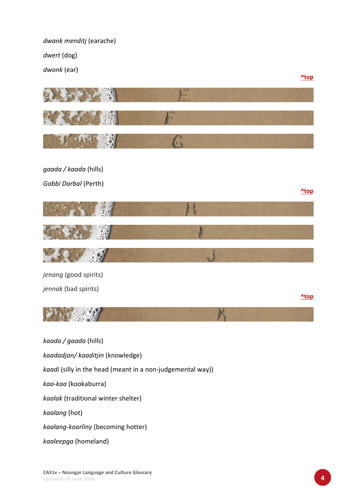*dwank menditj* (earache)

*dwert* (dog)

*dwonk* (ear)



*kaadadjan/ kaaditjin* (knowledge)

*kaadi* (silly in the head (meant in a non‐judgemental way))

*kaa‐kaa* (kookaburra)

*kaalak* (traditional winter shelter)

*kaalang* (hot)

*kaalang‐koorliny* (becoming hotter)

*kaaleepga* (homeland)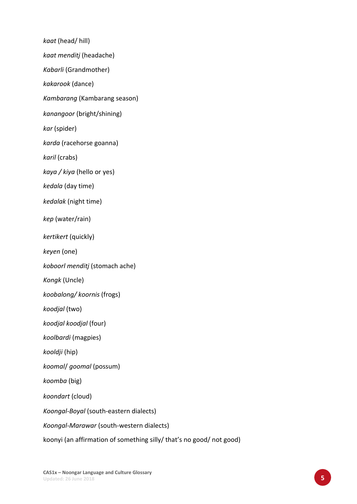*kaat* (head/ hill)

*kaat menditj* (headache)

*Kabarli* (Grandmother)

*kakarook* (dance)

*Kambarang* (Kambarang season)

*kanangoor* (bright/shining)

*kar* (spider)

*karda* (racehorse goanna)

*karil* (crabs)

*kaya / kiya* (hello or yes)

*kedala* (day time)

*kedalak* (night time)

*kep* (water/rain)

*kertikert* (quickly)

*keyen* (one)

*koboorl menditj* (stomach ache)

*Kongk* (Uncle)

*koobalong/ koornis* (frogs)

*koodjal* (two)

*koodjal koodjal* (four)

*koolbardi* (magpies)

*kooldji* (hip)

*koomal*/ *goomal* (possum)

*koomba* (big)

*koondart* (cloud)

*Koongal‐Boyal* (south‐eastern dialects)

*Koongal‐Marawar* (south‐western dialects)

koonyi (an affirmation of something silly/ that's no good/ not good)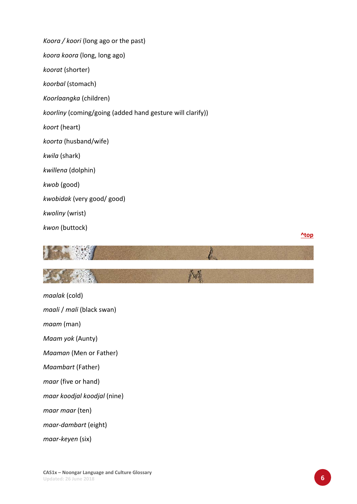*Koora / koori* (long ago or the past) *koora koora* (long, long ago) *koorat* (shorter) *koorbal* (stomach) *Koorlaangka* (children) *koorliny* (coming/going (added hand gesture will clarify)) *koort* (heart) *koorta* (husband/wife) *kwila* (shark) *kwillena* (dolphin) *kwob* (good) *kwobidak* (very good/ good) *kwoliny* (wrist) *kwon* (buttock)

**^top**



*maalak* (cold) *maali* / *mali* (black swan) *maam* (man) *Maam yok* (Aunty) *Maaman* (Men or Father) *Maambart* (Father) *maar* (five or hand) *maar koodjal koodjal* (nine) *maar maar* (ten) *maar‐dambart* (eight) *maar‐keyen* (six)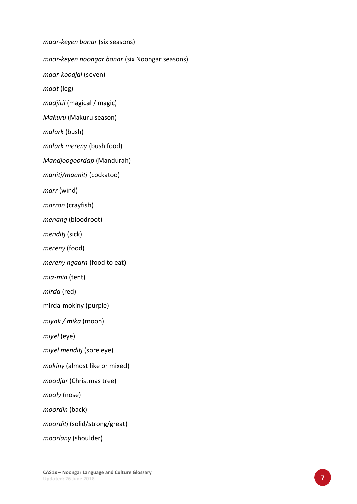*maar‐keyen bonar* (six seasons) *maar‐keyen noongar bonar* (six Noongar seasons) *maar‐koodjal* (seven) *maat* (leg) *madjitil* (magical / magic) *Makuru* (Makuru season) *malark* (bush) *malark mereny* (bush food) *Mandjoogoordap* (Mandurah) *manitj/maanitj* (cockatoo) *marr* (wind) *marron* (crayfish) *menang* (bloodroot) *menditj* (sick) *mereny* (food) *mereny ngaarn* (food to eat) *mia‐mia* (tent) *mirda* (red) mirda‐mokiny (purple) *miyak / mika* (moon) *miyel* (eye) *miyel menditj* (sore eye) *mokiny* (almost like or mixed) *moodjar* (Christmas tree) *mooly* (nose) *moordin* (back) *moorditj* (solid/strong/great) *moorlany* (shoulder)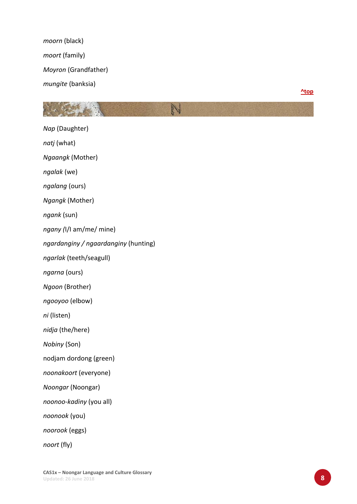*moorn* (black) *moort* (family) *Moyron* (Grandfather) *mungite* (banksia)

**^top**

*Nap* (Daughter) *natj* (what) *Ngaangk* (Mother) *ngalak* (we) *ngalang* (ours) *Ngangk* (Mother) *ngank* (sun) *ngany (*I/I am/me/ mine) *ngardanginy / ngaardanginy* (hunting) *ngarlak* (teeth/seagull) *ngarna* (ours) *Ngoon* (Brother) *ngooyoo* (elbow) *ni* (listen) *nidja* (the/here) *Nobiny* (Son) nodjam dordong (green) *noonakoort* (everyone) *Noongar* (Noongar) *noonoo‐kadiny* (you all) *noonook* (you) *noorook* (eggs)

N

*noort* (fly)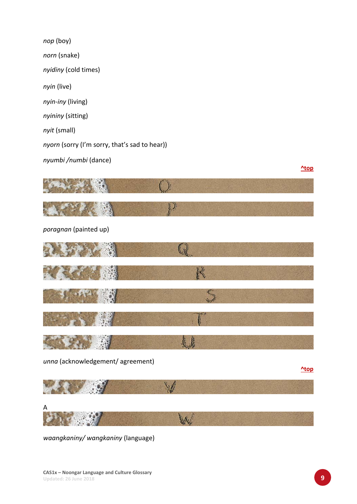*nop* (boy) *norn* (snake) *nyidiny* (cold times) *nyin* (live) *nyin‐iny* (living) *nyininy* (sitting) *nyit* (small) *nyorn* (sorry (I'm sorry, that's sad to hear)) *nyumbi /numbi* (dance)  $\mathbb{O}$ D *poragnan* (painted up) Q R





*unna* (acknowledgement/ agreement)

**^top**

**^top**



*waangkaniny/ wangkaniny* (language)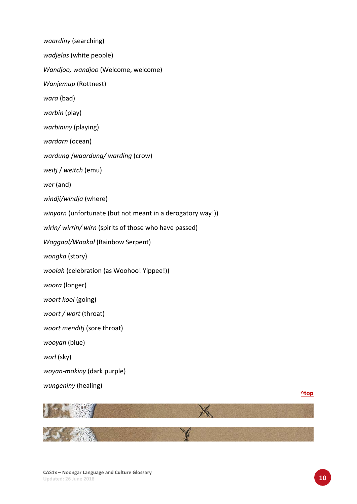*waardiny* (searching) *wadjelas* (white people) *Wandjoo, wandjoo* (Welcome, welcome) *Wanjemup* (Rottnest) *wara* (bad) *warbin* (play) *warbininy* (playing) *wardarn* (ocean) *wardung* /*waardung/ warding* (crow) *weitj* / *weitch* (emu) *wer* (and) *windji/windja* (where) *winyarn* (unfortunate (but not meant in a derogatory way!)) *wirin/ wirrin/ wirn* (spirits of those who have passed) *Woggaal/Waakal* (Rainbow Serpent) *wongka* (story) *woolah* (celebration (as Woohoo! Yippee!)) *woora* (longer) *woort kool* (going) *woort / wort* (throat) *woort menditj* (sore throat) *wooyan* (blue) *worl* (sky) *woyan‐mokiny* (dark purple) *wungeniny* (healing)

**^top**

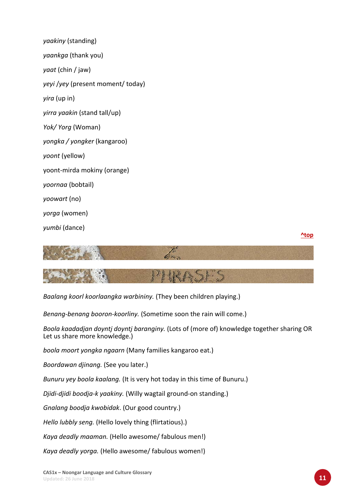| yaakiny (standing)                               |
|--------------------------------------------------|
| yaankga (thank you)                              |
| <i>yaat</i> (chin / jaw)                         |
| <i>yeyi</i> / <i>yey</i> (present moment/ today) |
| <i>yira</i> (up in)                              |
| <i>yirra yaakin</i> (stand tall/up)              |
| Yok/Yorg (Woman)                                 |
| yongka / yongker (kangaroo)                      |
| yoont (yellow)                                   |
| yoont-mirda mokiny (orange)                      |
| yoornaa (bobtail)                                |
| yoowart (no)                                     |
| <i>yorga</i> (women)                             |
| yumbi (dance)                                    |





*Baalang koorl koorlaangka warbininy.* (They been children playing.)

*Benang‐benang booron‐koorliny.* (Sometime soon the rain will come.)

*Boola kaadadjan doyntj doyntj baranginy.* (Lots of (more of) knowledge together sharing OR Let us share more knowledge.)

*boola moort yongka ngaarn* (Many families kangaroo eat.)

*Boordawan djinang.* (See you later.)

*Bunuru yey boola kaalang.* (It is very hot today in this time of Bunuru.)

*Djidi‐djidi boodja‐k yaakiny.* (Willy wagtail ground‐on standing.)

*Gnalang boodja kwobidak*. (Our good country.)

*Hello lubbly seng.* (Hello lovely thing (flirtatious).)

*Kaya deadly maaman.* (Hello awesome/ fabulous men!)

*Kaya deadly yorga.* (Hello awesome/ fabulous women!)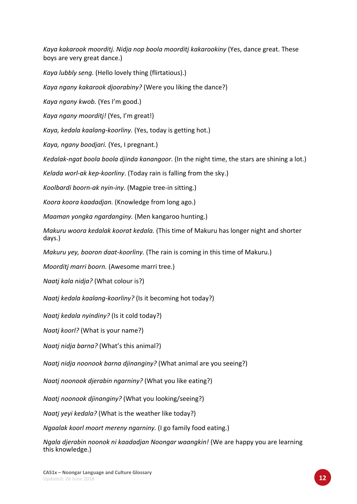*Kaya kakarook moorditj. Nidja nop boola moorditj kakarookiny* (Yes, dance great. These boys are very great dance.)

*Kaya lubbly seng.* (Hello lovely thing (flirtatious).)

*Kaya ngany kakarook djoorabiny?* (Were you liking the dance?)

*Kaya ngany kwob.* (Yes I'm good.)

*Kaya ngany moorditj!* (Yes, I'm great!)

*Kaya, kedala kaalang‐koorliny.* (Yes, today is getting hot.)

*Kaya, ngany boodjari.* (Yes, I pregnant.)

*Kedalak‐ngat boola boola djinda kanangoor.* (In the night time, the stars are shining a lot.)

*Kelada worl‐ak kep‐koorliny*. (Today rain is falling from the sky.)

*Koolbardi boorn‐ak nyin‐iny.* (Magpie tree‐in sitting.)

*Koora koora kaadadjan.* (Knowledge from long ago.)

*Maaman yongka ngardanginy.* (Men kangaroo hunting.)

*Makuru woora kedalak koorat kedala.* (This time of Makuru has longer night and shorter days.)

*Makuru yey, booron daat‐koorliny.* (The rain is coming in this time of Makuru.)

*Moorditj marri boorn.* (Awesome marri tree.)

*Naatj kala nidja?* (What colour is?)

*Naatj kedala kaalang‐koorliny?* (Is it becoming hot today?)

*Naatj kedala nyindiny?* (Is it cold today?)

*Naatj koorl?* (What is your name?)

*Naatj nidja barna?* (What's this animal?)

*Naatj nidja noonook barna djinanginy?* (What animal are you seeing?)

*Naatj noonook djerabin ngarniny?* (What you like eating?)

*Naatj noonook djinanginy?* (What you looking/seeing?)

*Naatj yeyi kedala?* (What is the weather like today?)

*Ngaalak koorl moort mereny ngarniny.* (I go family food eating.)

*Ngala djerabin noonok ni kaadadjan Noongar waangkin!* (We are happy you are learning this knowledge.)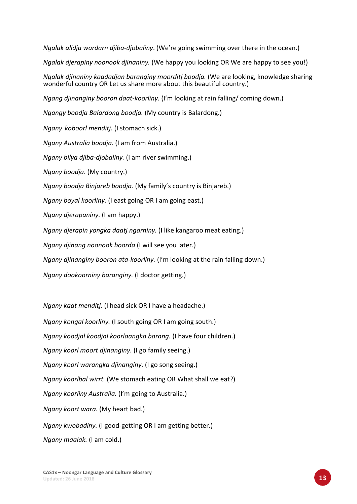*Ngalak alidja wardarn djiba‐djobaliny*. (We're going swimming over there in the ocean.) *Ngalak djerapiny noonook djinaniny.* (We happy you looking OR We are happy to see you!) *Ngalak djinaniny kaadadjan baranginy moorditj boodja.* (We are looking, knowledge sharing wonderful country OR Let us share more about this beautiful country.) *Ngang djinanginy booron daat‐koorliny.* (I'm looking at rain falling/ coming down.) *Ngangy boodja Balardong boodja.* (My country is Balardong.) *Ngany koboorl menditj.* (I stomach sick.) *Ngany Australia boodja.* (I am from Australia.) *Ngany bilya djiba‐djobaliny.* (I am river swimming.) *Ngany boodja*. (My country.) *Ngany boodja Binjareb boodja.* (My family's country is Binjareb.) *Ngany boyal koorliny.* (I east going OR I am going east.) *Ngany djerapaniny.* (I am happy.) *Ngany djerapin yongka daatj ngarniny.* (I like kangaroo meat eating.) *Ngany djinang noonook boorda* (I will see you later.) *Ngany djinanginy booron ata‐koorliny.* (I'm looking at the rain falling down.) *Ngany dookoorniny baranginy.* (I doctor getting.) *Ngany kaat menditj.* (I head sick OR I have a headache.)

*Ngany kongal koorliny.* (I south going OR I am going south.) *Ngany koodjal koodjal koorlaangka barang.* (I have four children.) *Ngany koorl moort djinanginy.* (I go family seeing.) *Ngany koorl warangka djinanginy.* (I go song seeing.) *Ngany koorlbal wirrt.* (We stomach eating OR What shall we eat?) *Ngany koorliny Australia.* (I'm going to Australia.) *Ngany koort wara.* (My heart bad.) *Ngany kwobadiny.* (I good‐getting OR I am getting better.) *Ngany maalak.* (I am cold.)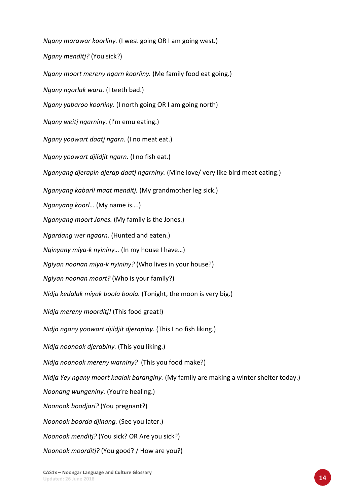*Ngany marawar koorliny.* (I west going OR I am going west.)

*Ngany menditj?* (You sick?)

*Ngany moort mereny ngarn koorliny.* (Me family food eat going.)

*Ngany ngorlak wara.* (I teeth bad.)

*Ngany yabaroo koorliny*. (I north going OR I am going north)

*Ngany weitj ngarniny.* (I'm emu eating.)

*Ngany yoowart daatj ngarn.* (I no meat eat.)

*Ngany yoowart djildjit ngarn.* (I no fish eat.)

*Nganyang djerapin djerap daatj ngarniny.* (Mine love/ very like bird meat eating.)

*Nganyang kabarli maat menditj.* (My grandmother leg sick.)

*Nganyang koorl…* (My name is….)

*Nganyang moort Jones.* (My family is the Jones.)

*Ngardang wer ngaarn.* (Hunted and eaten.)

*Nginyany miya‐k nyininy…* (In my house I have…)

*Ngiyan noonan miya‐k nyininy?* (Who lives in your house?)

*Ngiyan noonan moort?* (Who is your family?)

*Nidja kedalak miyak boola boola.* (Tonight, the moon is very big.)

*Nidja mereny moorditj!* (This food great!)

*Nidja ngany yoowart djildjit djerapiny.* (This I no fish liking.)

*Nidja noonook djerabiny.* (This you liking.)

*Nidja noonook mereny warniny?* (This you food make?)

*Nidja Yey ngany moort kaalak baranginy.* (My family are making a winter shelter today.)

*Noonang wungeniny.* (You're healing.)

*Noonook boodjari?* (You pregnant?)

*Noonook boorda djinang.* (See you later.)

*Noonook menditj?* (You sick? OR Are you sick?)

*Noonook moorditj?* (You good? / How are you?)